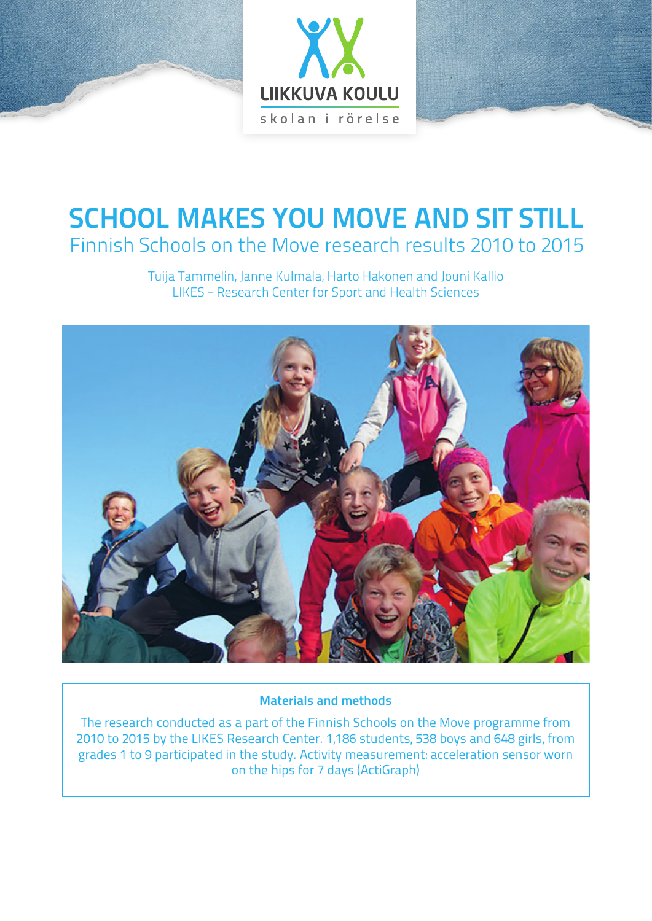

# **SCHOOL MAKES YOU MOVE AND SIT STILL** Finnish Schools on the Move research results 2010 to 2015

Tuija Tammelin, Janne Kulmala, Harto Hakonen and Jouni Kallio LIKES - Research Center for Sport and Health Sciences



#### **Materials and methods**

The research conducted as a part of the Finnish Schools on the Move programme from 2010 to 2015 by the LIKES Research Center. 1,186 students, 538 boys and 648 girls, from grades 1 to 9 participated in the study. Activity measurement: acceleration sensor worn on the hips for 7 days (ActiGraph)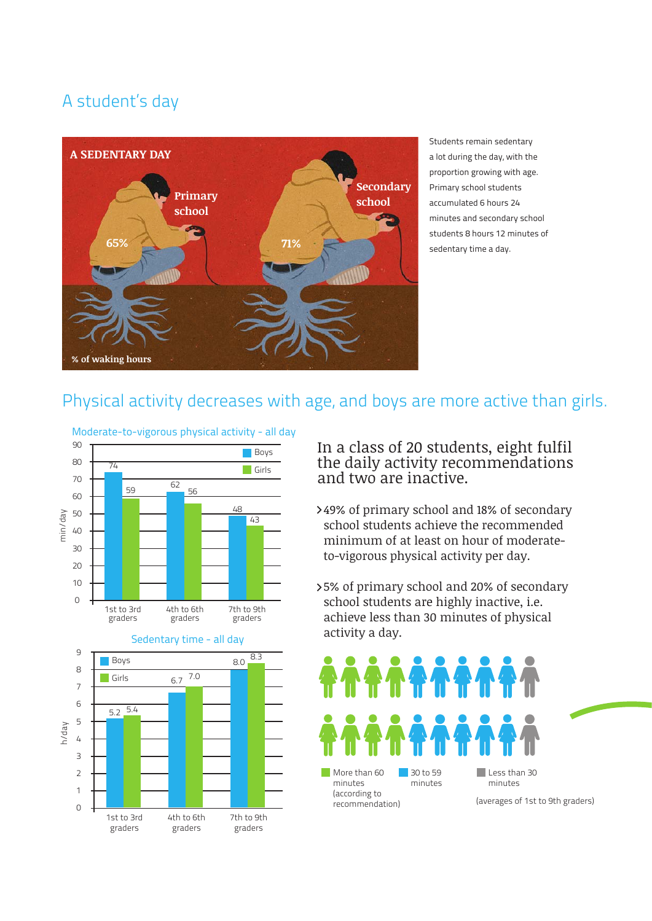### A student's day



Students remain sedentary a lot during the day, with the proportion growing with age. Primary school students accumulated 6 hours 24 minutes and secondary school students 8 hours 12 minutes of sedentary time a day.

#### Physical activity decreases with age, and boys are more active than girls.



In a class of 20 students, eight fulfil the daily activity recommendations and two are inactive.

- 49% of primary school and 18% of secondary school students achieve the recommended minimum of at least on hour of moderateto-vigorous physical activity per day.
- 5% of primary school and 20% of secondary school students are highly inactive, i.e. achieve less than 30 minutes of physical activity a day.

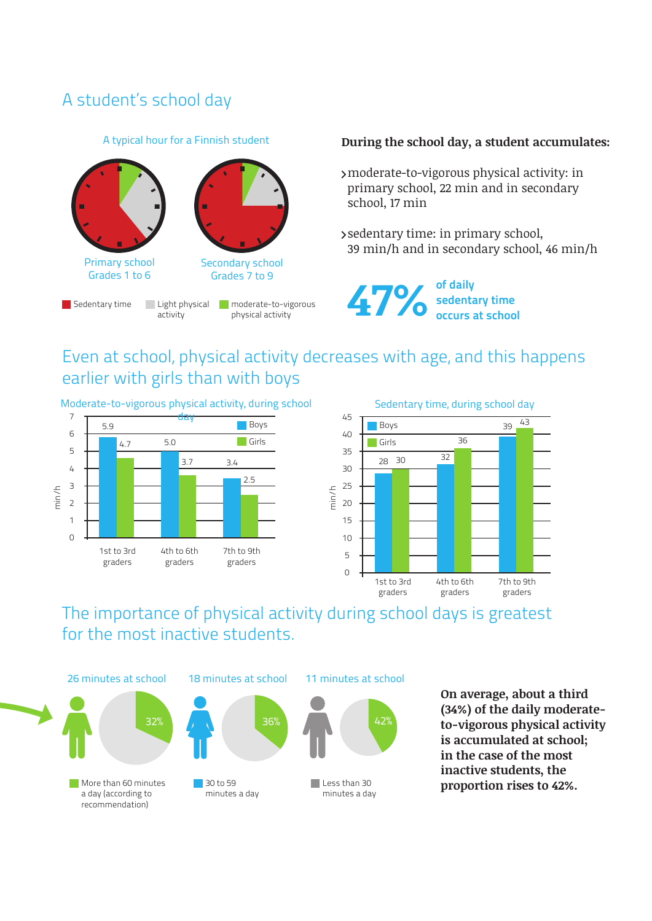### A student's school day

#### A typical hour for a Finnish student



#### **During the school day, a student accumulates:**

- moderate-to-vigorous physical activity: in primary school, 22 min and in secondary school, 17 min
- sedentary time: in primary school, 39 min/h and in secondary school, 46 min/h



## Even at school, physical activity decreases with age, and this happens earlier with girls than with boys

Moderate-to-vigorous physical activity, during school





The importance of physical activity during school days is greatest for the most inactive students.





30 to 59 minutes a day





minutes a day

**On average, about a third (34%) of the daily moderateto-vigorous physical activity is accumulated at school; in the case of the most inactive students, the**